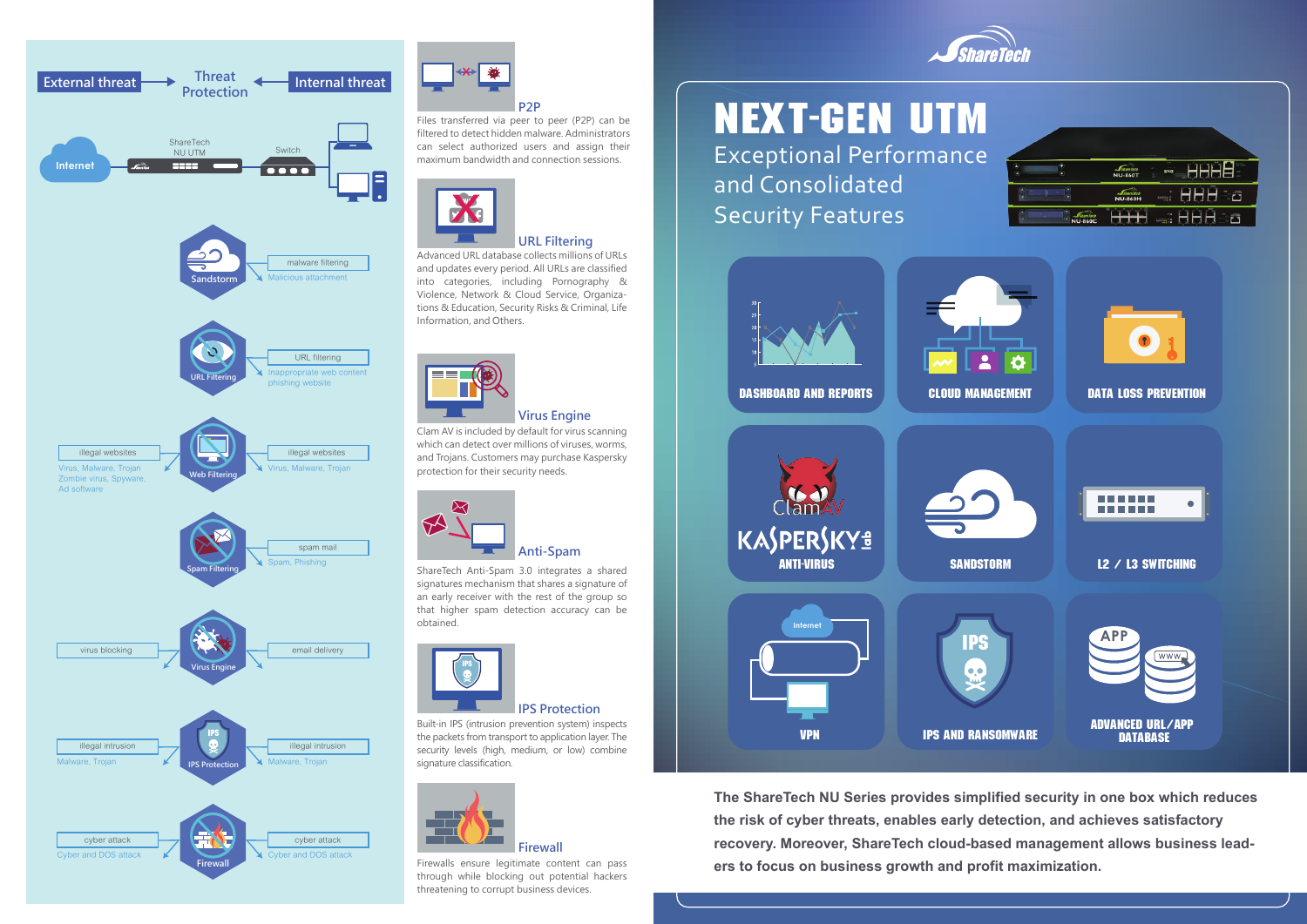# Next-Gen UTM

Exceptional Performance and Consolidated Security Features





**The ShareTech NU Series provides simplified security in one box which reduces the risk of cyber threats, enables early detection, and achieves satisfactory recovery. Moreover, ShareTech cloud-based management allows business leaders to focus on business growth and profit maximization.**









Files transferred via peer to peer (P2P) can be filtered to detect hidden malware. Administrators can select authorized users and assign their maximum bandwidth and connection sessions.





Advanced URL database collects millions of URLs and updates every period. All URLs are classified into categories, including Pornography & Violence, Network & Cloud Service, Organizations & Education, Security Risks & Criminal, Life Information, and Others.



## **URL Filtering**

Clam AV is included by default for virus scanning which can detect over millions of viruses, worms, and Trojans. Customers may purchase Kaspersky protection for their security needs.

## **Virus Engine**



ShareTech Anti-Spam 3.0 integrates a shared signatures mechanism that shares a signature of an early receiver with the rest of the group so that higher spam detection accuracy can be obtained.



Built-in IPS (intrusion prevention system) inspects the packets from transport to application layer. The security levels (high, medium, or low) combine signature classification.

## **IPS Protection**

Firewalls ensure legitimate content can pass through while blocking out potential hackers threatening to corrupt business devices.



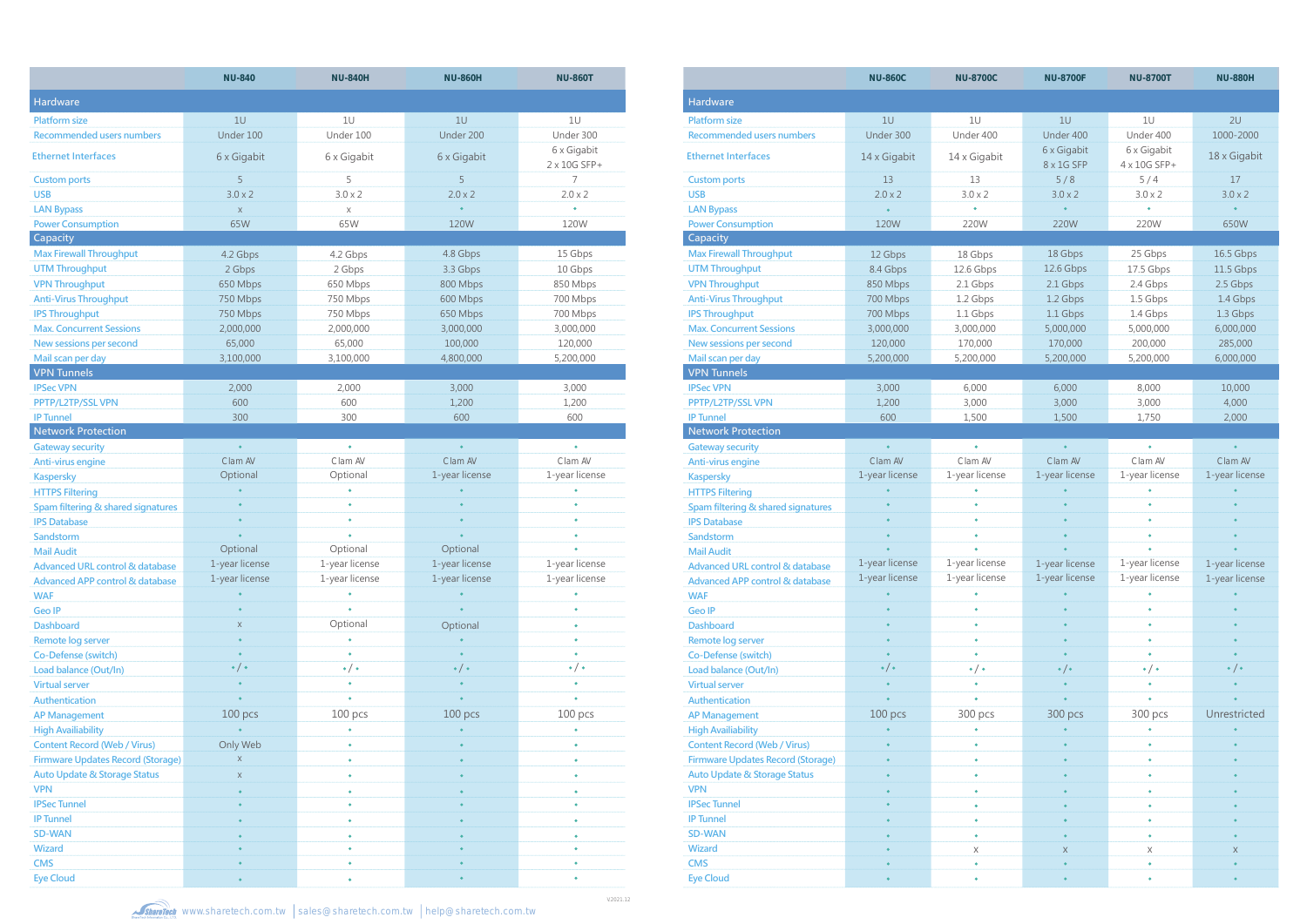|                                            | <b>NU-840</b>         | <b>NU-840H</b>    | <b>NU-860H</b>   | <b>NU-860T</b>              |                               |
|--------------------------------------------|-----------------------|-------------------|------------------|-----------------------------|-------------------------------|
| Hardware                                   |                       |                   |                  |                             | <b>Hardware</b>               |
| <b>Platform size</b>                       | 1U                    | 1U                | 1U               | 1U                          | <b>Platform size</b>          |
| <b>Recommended users numbers</b>           | Under 100             | Under 100         | Under 200        | Under 300                   | <b>Recommended use</b>        |
| <b>Ethernet Interfaces</b>                 | 6 x Gigabit           | 6 x Gigabit       | 6 x Gigabit      | 6 x Gigabit<br>2 x 10G SFP+ | <b>Ethernet Interfaces</b>    |
| <b>Custom ports</b>                        | 5                     | 5                 | 5                | 7                           | <b>Custom ports</b>           |
| <b>USB</b>                                 | $3.0 \times 2$        | $3.0 \times 2$    | $2.0 \times 2$   | $2.0 \times 2$              | <b>USB</b>                    |
| <b>LAN Bypass</b>                          | $\mathsf X$           | X                 | $\bullet$        | $\bullet$                   | <b>LAN Bypass</b>             |
| <b>Power Consumption</b>                   | 65W                   | 65W               | 120W             | 120W                        | <b>Power Consumption</b>      |
| Capacity                                   |                       |                   |                  |                             | Capacity                      |
| <b>Max Firewall Throughput</b>             | 4.2 Gbps              | 4.2 Gbps          | 4.8 Gbps         | 15 Gbps                     | <b>Max Firewall Throud</b>    |
| <b>UTM Throughput</b>                      | 2 Gbps                | 2 Gbps            | 3.3 Gbps         | 10 Gbps                     | <b>UTM Throughput</b>         |
| <b>VPN Throughput</b>                      | 650 Mbps              | 650 Mbps          | 800 Mbps         | 850 Mbps                    | <b>VPN Throughput</b>         |
| <b>Anti-Virus Throughput</b>               | 750 Mbps              | 750 Mbps          | 600 Mbps         | 700 Mbps                    | <b>Anti-Virus Through</b>     |
| <b>IPS Throughput</b>                      | 750 Mbps              | 750 Mbps          | 650 Mbps         | 700 Mbps                    | <b>IPS Throughput</b>         |
| <b>Max. Concurrent Sessions</b>            | 2,000,000             | 2,000,000         | 3,000,000        | 3,000,000                   | <b>Max. Concurrent Se</b>     |
| New sessions per second                    | 65,000                | 65,000            | 100,000          | 120,000                     | New sessions per se           |
| Mail scan per day                          | 3,100,000             | 3,100,000         | 4,800,000        | 5,200,000                   | Mail scan per day             |
| <b>VPN Tunnels</b>                         |                       |                   |                  |                             | <b>VPN Tunnels</b>            |
| <b>IPSec VPN</b>                           | 2,000                 | 2,000             | 3,000            | 3,000                       | <b>IPSec VPN</b>              |
| PPTP/L2TP/SSL VPN                          | 600                   | 600               | 1,200            | 1,200                       | PPTP/L2TP/SSL VPN             |
| <b>IP Tunnel</b>                           | 300                   | 300               | 600              | 600                         | <b>IP Tunnel</b>              |
| <b>Network Protection</b>                  |                       |                   |                  |                             | <b>Network Protecti</b>       |
| <b>Gateway security</b>                    | $\bullet$             | $\bullet$         | $\bullet$        | $\bullet$                   | <b>Gateway security</b>       |
| Anti-virus engine                          | Clam AV               | Clam AV           | Clam AV          | Clam AV                     | Anti-virus engine             |
| <b>Kaspersky</b>                           | Optional              | Optional          | 1-year license   | 1-year license              | <b>Kaspersky</b>              |
| <b>HTTPS Filtering</b>                     |                       | ۰                 |                  |                             | <b>HTTPS Filtering</b>        |
| Spam filtering & shared signatures         |                       | ٠                 |                  | $\bullet$                   | Spam filtering & sha          |
| <b>IPS Database</b>                        |                       | $\bullet$         |                  | ó                           | <b>IPS Database</b>           |
| Sandstorm                                  | $\bullet$             |                   |                  | ٠                           | Sandstorm                     |
| <b>Mail Audit</b>                          | Optional              | Optional          | Optional         | $\bullet$                   | <b>Mail Audit</b>             |
| <b>Advanced URL control &amp; database</b> | 1-year license        | 1-year license    | 1-year license   | 1-year license              | <b>Advanced URL cont</b>      |
| Advanced APP control & database            | 1-year license        | 1-year license    | 1-year license   | 1-year license              | <b>Advanced APP cont</b>      |
| <b>WAF</b>                                 |                       |                   |                  |                             | <b>WAF</b>                    |
| <b>Geo IP</b>                              |                       | $\bullet$         |                  |                             | <b>Geo IP</b>                 |
| <b>Dashboard</b>                           | $\mathsf X$           | Optional          | Optional         |                             | <b>Dashboard</b>              |
| Remote log server                          |                       | ٠                 |                  |                             | Remote log server             |
| Co-Defense (switch)                        |                       | $\bullet$         |                  | $\bullet$                   | Co-Defense (switch            |
| Load balance (Out/In)                      | $\bullet$ / $\bullet$ | $\bullet/\bullet$ | $\cdot/$ $\cdot$ | $\bullet/\bullet$           | Load balance (Out/I           |
| <b>Virtual server</b>                      |                       | ٠                 |                  |                             | <b>Virtual server</b>         |
| Authentication                             |                       | $\bullet$         |                  |                             | Authentication                |
| <b>AP Management</b>                       | 100 pcs               | 100 pcs           | 100 pcs          | 100 pcs                     | <b>AP Management</b>          |
| <b>High Availiability</b>                  |                       | ٠                 |                  |                             | <b>High Availiability</b>     |
| <b>Content Record (Web / Virus)</b>        | Only Web              | ۰                 |                  | ٠                           | <b>Content Record (We</b>     |
| <b>Firmware Updates Record (Storage)</b>   | X                     | ۰                 |                  | ٠                           | <b>Firmware Updates F</b>     |
| <b>Auto Update &amp; Storage Status</b>    | Χ                     | ٠                 |                  | ٠                           | <b>Auto Update &amp; Stor</b> |
| <b>VPN</b>                                 |                       | ٠                 |                  | ۰                           | <b>VPN</b>                    |
| <b>IPSec Tunnel</b>                        |                       | ٠                 |                  | ٠                           | <b>IPSec Tunnel</b>           |
| <b>IP Tunnel</b>                           |                       | ۰                 |                  | ٠                           | <b>IP Tunnel</b>              |
| <b>SD-WAN</b>                              |                       |                   |                  |                             | <b>SD-WAN</b>                 |
| <b>Wizard</b>                              |                       | ۰                 |                  |                             | <b>Wizard</b>                 |
| <b>CMS</b>                                 |                       | ٠                 |                  |                             | <b>CMS</b>                    |
| <b>Eye Cloud</b>                           |                       |                   | $\bullet$        | ٠                           | <b>Eye Cloud</b>              |
|                                            |                       |                   |                  |                             |                               |

|                                            | <b>NU-860C</b> | <b>NU-8700C</b>   | <b>NU-8700F</b>   | <b>NU-8700T</b>     | <b>NU-880H</b>    |  |
|--------------------------------------------|----------------|-------------------|-------------------|---------------------|-------------------|--|
| <b>Hardware</b>                            |                |                   |                   |                     |                   |  |
| <b>Platform size</b>                       | 1U             | 1U                | 10                | 1U                  | 2U                |  |
| <b>Recommended users numbers</b>           | Under 300      | Under 400         | Under 400         | Under 400           | 1000-2000         |  |
|                                            |                |                   | 6 x Gigabit       | 6 x Gigabit         |                   |  |
| <b>Ethernet Interfaces</b>                 | 14 x Gigabit   | 14 x Gigabit      | 8 x 1G SFP        | 4 x 10G SFP+        | 18 x Gigabit      |  |
| <b>Custom ports</b>                        | 13             | 13                | 5/8               | 5/4                 | 17                |  |
| <b>USB</b>                                 | $2.0 \times 2$ | $3.0 \times 2$    | $3.0 \times 2$    | $3.0 \times 2$      | $3.0 \times 2$    |  |
| <b>LAN Bypass</b>                          | $\bullet$      | $\bullet$         | $\bullet$         | $\bullet$           | $\bullet$         |  |
| <b>Power Consumption</b>                   | 120W           | 220W              | 220W              | 220W                | 650W              |  |
| Capacity                                   |                |                   |                   |                     |                   |  |
| <b>Max Firewall Throughput</b>             | 12 Gbps        | 18 Gbps           | 18 Gbps           | 25 Gbps             | 16.5 Gbps         |  |
| <b>UTM Throughput</b>                      | 8.4 Gbps       | 12.6 Gbps         | 12.6 Gbps         | 17.5 Gbps           | 11.5 Gbps         |  |
| <b>VPN Throughput</b>                      | 850 Mbps       | 2.1 Gbps          | 2.1 Gbps          | 2.4 Gbps            | 2.5 Gbps          |  |
| <b>Anti-Virus Throughput</b>               | 700 Mbps       | 1.2 Gbps          | 1.2 Gbps          | 1.5 Gbps            | 1.4 Gbps          |  |
| <b>IPS Throughput</b>                      | 700 Mbps       | 1.1 Gbps          | 1.1 Gbps          | 1.4 Gbps            | 1.3 Gbps          |  |
| <b>Max. Concurrent Sessions</b>            | 3,000,000      | 3,000,000         | 5,000,000         | 5,000,000           | 6,000,000         |  |
| New sessions per second                    | 120,000        | 170,000           | 170,000           | 200,000             | 285,000           |  |
| Mail scan per day                          | 5,200,000      | 5,200,000         | 5,200,000         | 5,200,000           | 6,000,000         |  |
| <b>VPN Tunnels</b>                         |                |                   |                   |                     |                   |  |
| <b>IPSec VPN</b>                           | 3,000          | 6,000             | 6,000             | 8,000               | 10,000            |  |
| PPTP/L2TP/SSL VPN                          | 1,200          | 3,000             | 3,000             | 3,000               | 4,000             |  |
| <b>IP Tunnel</b>                           | 600            | 1,500             | 1,500             | 1,750               | 2,000             |  |
| <b>Network Protection</b>                  |                |                   |                   |                     |                   |  |
| <b>Gateway security</b>                    | $\bullet$      | $\bullet$         | $\bullet$         | $\bullet$           | $\bullet$         |  |
| Anti-virus engine                          | Clam AV        | Clam AV           | Clam AV           | Clam AV             | Clam AV           |  |
| <b>Kaspersky</b>                           | 1-year license | 1-year license    | 1-year license    | 1-year license      | 1-year license    |  |
| <b>HTTPS Filtering</b>                     |                | $\bullet$         |                   | $\bullet$           |                   |  |
| Spam filtering & shared signatures         |                | $\bullet$         |                   | $\bullet$           |                   |  |
| <b>IPS Database</b>                        |                | $\bullet$         |                   | $\bullet$           |                   |  |
| Sandstorm                                  |                | ٠                 |                   | ٠                   |                   |  |
| <b>Mail Audit</b>                          |                | ٠                 |                   | ٠                   |                   |  |
| <b>Advanced URL control &amp; database</b> | 1-year license | 1-year license    | 1-year license    | 1-year license      | 1-year license    |  |
| <b>Advanced APP control &amp; database</b> | 1-year license | 1-year license    | 1-year license    | 1-year license      | 1-year license    |  |
| <b>WAF</b>                                 |                |                   |                   |                     |                   |  |
| <b>Geo IP</b>                              |                |                   |                   |                     |                   |  |
| <b>Dashboard</b>                           |                |                   |                   |                     |                   |  |
| Remote log server                          |                |                   |                   |                     |                   |  |
| Co-Defense (switch)                        |                |                   |                   |                     |                   |  |
| Load balance (Out/In)                      | $\cdot/\cdot$  | $\bullet/\bullet$ | $\bullet/\bullet$ | $\bullet / \bullet$ | $\bullet/\bullet$ |  |
| <b>Virtual server</b>                      |                |                   |                   |                     |                   |  |
| Authentication                             |                |                   |                   |                     |                   |  |
| <b>AP Management</b>                       | 100 pcs        | 300 pcs           | 300 pcs           | 300 pcs             | Unrestricted      |  |
| <b>High Availiability</b>                  |                |                   |                   |                     |                   |  |
| <b>Content Record (Web / Virus)</b>        |                |                   |                   |                     |                   |  |
| <b>Firmware Updates Record (Storage)</b>   |                |                   |                   | ٠                   |                   |  |
| <b>Auto Update &amp; Storage Status</b>    |                |                   |                   |                     |                   |  |
| <b>VPN</b>                                 |                |                   |                   |                     |                   |  |
| <b>IPSec Tunnel</b>                        |                |                   |                   |                     |                   |  |
| <b>IP Tunnel</b>                           |                |                   |                   |                     |                   |  |
| <b>SD-WAN</b>                              |                | $\bullet$         |                   |                     |                   |  |
| <b>Wizard</b>                              |                | X                 | X                 | Χ                   | X                 |  |
| <b>CMS</b>                                 |                | $\bullet$         |                   |                     |                   |  |
| <b>Eye Cloud</b>                           |                |                   |                   |                     |                   |  |

**ShareTech** www.sharetech.com.tw sales@sharetech.com.tw help@sharetech.com.tw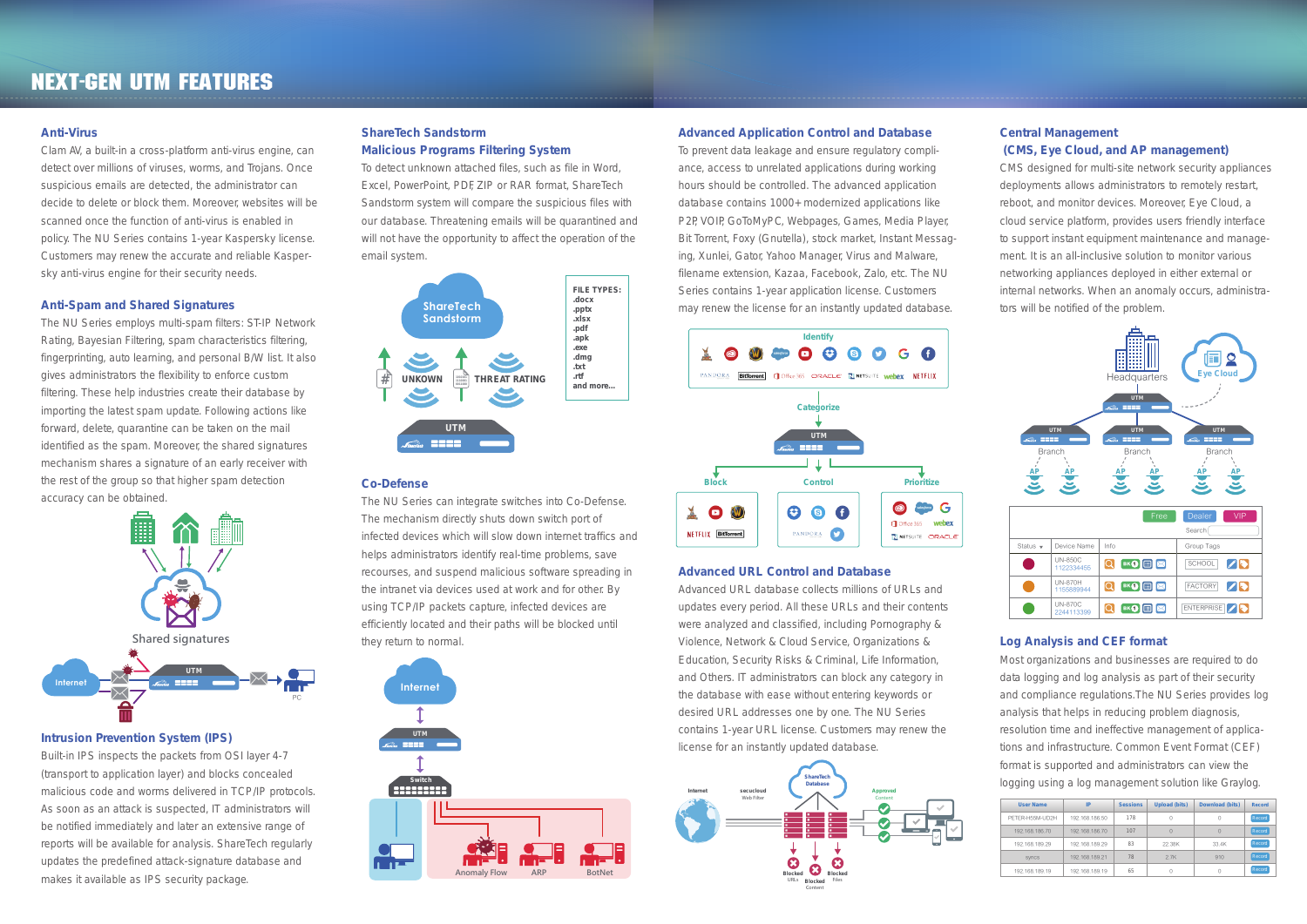#### **Anti-Virus**

Clam AV, a built-in a cross-platform anti-virus engine, can detect over millions of viruses, worms, and Trojans. Once suspicious emails are detected, the administrator can decide to delete or block them. Moreover, websites will be scanned once the function of anti-virus is enabled in policy. The NU Series contains 1-year Kaspersky license. Customers may renew the accurate and reliable Kaspersky anti-virus engine for their security needs.

#### **Anti-Spam and Shared Signatures**

The NU Series employs multi-spam filters: ST-IP Network Rating, Bayesian Filtering, spam characteristics filtering, fingerprinting, auto learning, and personal B/W list. It also gives administrators the flexibility to enforce custom filtering. These help industries create their database by importing the latest spam update. Following actions like forward, delete, quarantine can be taken on the mail identified as the spam. Moreover, the shared signatures mechanism shares a signature of an early receiver with the rest of the group so that higher spam detection accuracy can be obtained.

#### **Intrusion Prevention System (IPS)**

Built-in IPS inspects the packets from OSI layer 4-7 (transport to application layer) and blocks concealed malicious code and worms delivered in TCP/IP protocols. As soon as an attack is suspected, IT administrators will be notified immediately and later an extensive range of reports will be available for analysis. ShareTech regularly updates the predefined attack-signature database and makes it available as IPS security package.

#### **ShareTech Sandstorm Malicious Programs Filtering System**

To detect unknown attached files, such as file in Word, Excel, PowerPoint, PDF, ZIP or RAR format, ShareTech Sandstorm system will compare the suspicious files with our database. Threatening emails will be quarantined and will not have the opportunity to affect the operation of the email system.

#### **Co-Defense**

The NU Series can integrate switches into Co-Defense. The mechanism directly shuts down switch port of infected devices which will slow down internet traffics and helps administrators identify real-time problems, save recourses, and suspend malicious software spreading in the intranet via devices used at work and for other. By using TCP/IP packets capture, infected devices are efficiently located and their paths will be blocked until they return to normal.

#### **Advanced Application Control and Database**

To prevent data leakage and ensure regulatory compliance, access to unrelated applications during working hours should be controlled. The advanced application database contains 1000+ modernized applications like P2P, VOIP, GoToMyPC, Webpages, Games, Media Player, Bit Torrent, Foxy (Gnutella), stock market, Instant Messaging, Xunlei, Gator, Yahoo Manager, Virus and Malware, filename extension, Kazaa, Facebook, Zalo, etc. The NU Series contains 1-year application license. Customers may renew the license for an instantly updated database.

#### **Advanced URL Control and Database**

Advanced URL database collects millions of URLs and updates every period. All these URLs and their contents were analyzed and classified, including Pornography & Violence, Network & Cloud Service, Organizations & Education, Security Risks & Criminal, Life Information, and Others. IT administrators can block any category in the database with ease without entering keywords or desired URL addresses one by one. The NU Series contains 1-year URL license. Customers may renew the license for an instantly updated database.

#### **Central Management (CMS, Eye Cloud, and AP management)**

CMS designed for multi-site network security appliances deployments allows administrators to remotely restart, reboot, and monitor devices. Moreover, Eye Cloud, a cloud service platform, provides users friendly interface to support instant equipment maintenance and management. It is an all-inclusive solution to monitor various networking appliances deployed in either external or internal networks. When an anomaly occurs, administrators will be notified of the problem.

#### **Log Analysis and CEF format**

Most organizations and businesses are required to do data logging and log analysis as part of their security and compliance regulations.The NU Series provides log analysis that helps in reducing problem diagnosis, resolution time and ineffective management of applications and infrastructure. Common Event Format (CEF) format is supported and administrators can view the logging using a log management solution like Graylog.

## Next-Gen UTM Features

| <b>User Name</b> | IP             | <b>Sessions</b> | <b>Upload (bits)</b> | Download (bits) | <b>Record</b> |
|------------------|----------------|-----------------|----------------------|-----------------|---------------|
| PFTFR-H55M-UD2H  | 192.168.186.50 | 178             | $\Omega$             | 0               | Record        |
| 192.168.186.70   | 192.168.186.70 | 107             | $\Omega$             | $\Omega$        | Record        |
| 192.168.189.29   | 192.168.189.29 | 83              | 22.38K               | 33.4K           | Record        |
| <b>SVNCS</b>     | 192.168.189.21 | 78              | 2.7K                 | 910             | Record        |
| 192.168.189.19   | 192.168.189.19 | 65              | $\Omega$             | Ω               | Record        |